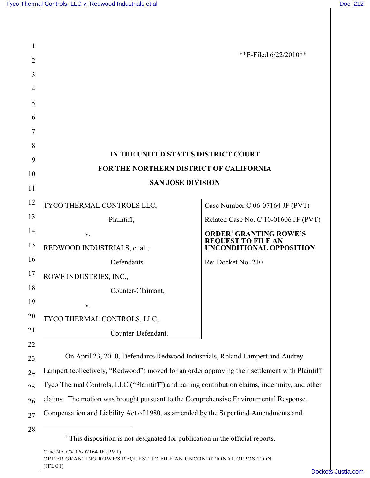| 1  |                                                                                                |                                                       |
|----|------------------------------------------------------------------------------------------------|-------------------------------------------------------|
| 2  |                                                                                                | **E-Filed $6/22/2010**$                               |
| 3  |                                                                                                |                                                       |
| 4  |                                                                                                |                                                       |
| 5  |                                                                                                |                                                       |
| 6  |                                                                                                |                                                       |
| 7  |                                                                                                |                                                       |
| 8  | IN THE UNITED STATES DISTRICT COURT                                                            |                                                       |
| 9  |                                                                                                |                                                       |
| 10 | FOR THE NORTHERN DISTRICT OF CALIFORNIA                                                        |                                                       |
| 11 | <b>SAN JOSE DIVISION</b>                                                                       |                                                       |
| 12 | TYCO THERMAL CONTROLS LLC,                                                                     | Case Number C 06-07164 JF (PVT)                       |
| 13 | Plaintiff,                                                                                     | Related Case No. C 10-01606 JF (PVT)                  |
| 14 | V.                                                                                             | <b>ORDER<sup>1</sup> GRANTING ROWE'S</b>              |
| 15 | REDWOOD INDUSTRIALS, et al.,                                                                   | <b>REQUEST TO FILE AN</b><br>UNCONDITIONAL OPPOSITION |
| 16 | Defendants.                                                                                    | Re: Docket No. 210                                    |
| 17 | ROWE INDUSTRIES, INC.,                                                                         |                                                       |
| 18 | Counter-Claimant,                                                                              |                                                       |
| 19 | V.                                                                                             |                                                       |
| 20 | TYCO THERMAL CONTROLS, LLC,                                                                    |                                                       |
| 21 | Counter-Defendant.                                                                             |                                                       |
| 22 |                                                                                                |                                                       |
| 23 | On April 23, 2010, Defendants Redwood Industrials, Roland Lampert and Audrey                   |                                                       |
| 24 | Lampert (collectively, "Redwood") moved for an order approving their settlement with Plaintiff |                                                       |
| 25 | Tyco Thermal Controls, LLC ("Plaintiff") and barring contribution claims, indemnity, and other |                                                       |
| 26 | claims. The motion was brought pursuant to the Comprehensive Environmental Response,           |                                                       |
| 27 | Compensation and Liability Act of 1980, as amended by the Superfund Amendments and             |                                                       |
| 28 | This disposition is not designated for publication in the official reports.                    |                                                       |

Case No. CV 06-07164 JF (PVT) ORDER GRANTING ROWE'S REQUEST TO FILE AN UNCONDITIONAL OPPOSITION (JFLC1)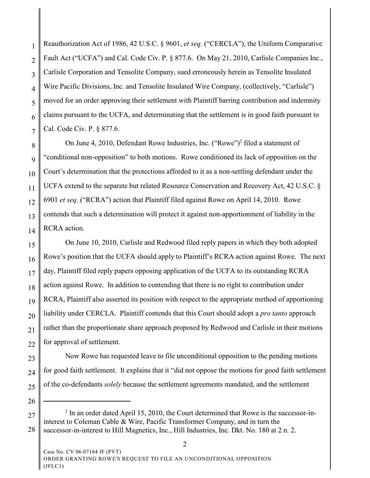1 2 3 4 5 6 7 Reauthorization Act of 1986, 42 U.S.C. § 9601, *et seq.* ("CERCLA"), the Uniform Comparative Fault Act ("UCFA") and Cal. Code Civ. P. § 877.6. On May 21, 2010, Carlisle Companies Inc., Carlisle Corporation and Tensolite Company, sued erroneously herein as Tensolite Insulated Wire Pacific Divisions, Inc. and Tensolite Insulated Wire Company, (collectively, "Carlisle") moved for an order approving their settlement with Plaintiff barring contribution and indemnity claims pursuant to the UCFA, and determinating that the settlement is in good faith pursuant to Cal. Code Civ. P. § 877.6.

8 9 10 11 12 13 14 On June 4, 2010, Defendant Rowe Industries, Inc. ("Rowe")<sup>2</sup> filed a statement of "conditional non-opposition" to both motions. Rowe conditioned its lack of opposition on the Court's determination that the protections afforded to it as a non-settling defendant under the UCFA extend to the separate but related Resource Conservation and Recovery Act, 42 U.S.C. § 6901 *et seq.* ("RCRA") action that Plaintiff filed against Rowe on April 14, 2010. Rowe contends that such a determination will protect it against non-apportionment of liability in the RCRA action.

15 16 17 18 19 20 21 22 On June 10, 2010, Carlisle and Redwood filed reply papers in which they both adopted Rowe's position that the UCFA should apply to Plaintiff's RCRA action against Rowe. The next day, Plaintiff filed reply papers opposing application of the UCFA to its outstanding RCRA action against Rowe. In addition to contending that there is no right to contribution under RCRA, Plaintiff also asserted its position with respect to the appropriate method of apportioning liability under CERCLA. Plaintiff contends that this Court should adopt a *pro tanto* approach rather than the proportionate share approach proposed by Redwood and Carlisle in their motions for approval of settlement.

23 24 25 Now Rowe has requested leave to file unconditional opposition to the pending motions for good faith settlement. It explains that it "did not oppose the motions for good faith settlement of the co-defendants *solely* because the settlement agreements mandated, and the settlement

26

27

28

 $<sup>2</sup>$  In an order dated April 15, 2010, the Court determined that Rowe is the successor-in-</sup> interest to Coleman Cable & Wire, Pacific Transformer Company, and in turn the successor-in-interest to Hill Magnetics, Inc., Hill Industries, Inc. Dkt. No. 180 at 2 n. 2.